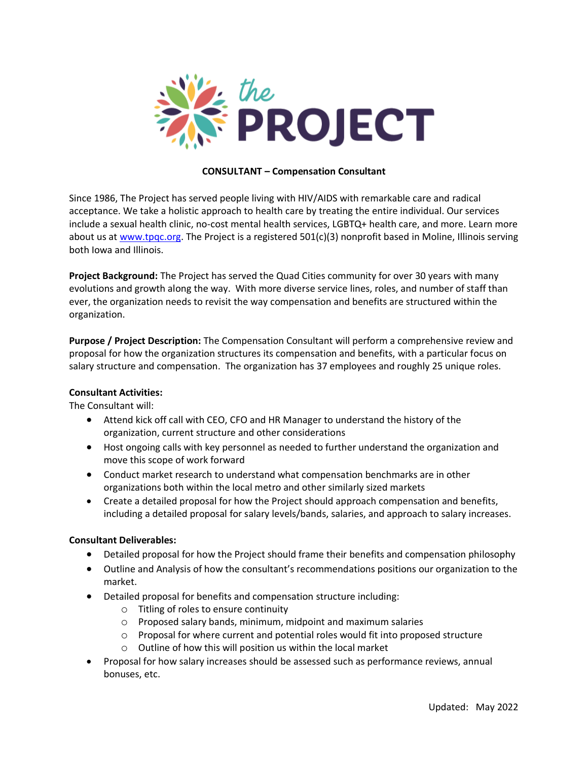

### **CONSULTANT – Compensation Consultant**

Since 1986, The Project has served people living with HIV/AIDS with remarkable care and radical acceptance. We take a holistic approach to health care by treating the entire individual. Our services include a sexual health clinic, no-cost mental health services, LGBTQ+ health care, and more. Learn more about us at [www.tpqc.org.](http://www.tpqc.org/) The Project is a registered 501(c)(3) nonprofit based in Moline, Illinois serving both Iowa and Illinois.

**Project Background:** The Project has served the Quad Cities community for over 30 years with many evolutions and growth along the way. With more diverse service lines, roles, and number of staff than ever, the organization needs to revisit the way compensation and benefits are structured within the organization.

**Purpose / Project Description:** The Compensation Consultant will perform a comprehensive review and proposal for how the organization structures its compensation and benefits, with a particular focus on salary structure and compensation. The organization has 37 employees and roughly 25 unique roles.

### **Consultant Activities:**

The Consultant will:

- Attend kick off call with CEO, CFO and HR Manager to understand the history of the organization, current structure and other considerations
- Host ongoing calls with key personnel as needed to further understand the organization and move this scope of work forward
- Conduct market research to understand what compensation benchmarks are in other organizations both within the local metro and other similarly sized markets
- Create a detailed proposal for how the Project should approach compensation and benefits, including a detailed proposal for salary levels/bands, salaries, and approach to salary increases.

### **Consultant Deliverables:**

- Detailed proposal for how the Project should frame their benefits and compensation philosophy
- Outline and Analysis of how the consultant's recommendations positions our organization to the market.
- Detailed proposal for benefits and compensation structure including:
	- o Titling of roles to ensure continuity
	- o Proposed salary bands, minimum, midpoint and maximum salaries
	- $\circ$  Proposal for where current and potential roles would fit into proposed structure
	- o Outline of how this will position us within the local market
- Proposal for how salary increases should be assessed such as performance reviews, annual bonuses, etc.